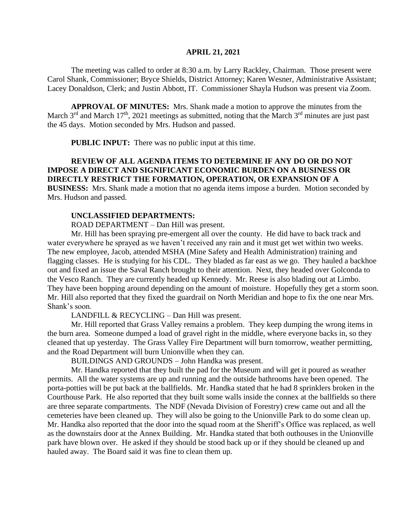#### **APRIL 21, 2021**

The meeting was called to order at 8:30 a.m. by Larry Rackley, Chairman. Those present were Carol Shank, Commissioner; Bryce Shields, District Attorney; Karen Wesner, Administrative Assistant; Lacey Donaldson, Clerk; and Justin Abbott, IT. Commissioner Shayla Hudson was present via Zoom.

**APPROVAL OF MINUTES:** Mrs. Shank made a motion to approve the minutes from the March  $3<sup>rd</sup>$  and March  $17<sup>th</sup>$ , 2021 meetings as submitted, noting that the March  $3<sup>rd</sup>$  minutes are just past the 45 days. Motion seconded by Mrs. Hudson and passed.

 **PUBLIC INPUT:** There was no public input at this time.

# **REVIEW OF ALL AGENDA ITEMS TO DETERMINE IF ANY DO OR DO NOT IMPOSE A DIRECT AND SIGNIFICANT ECONOMIC BURDEN ON A BUSINESS OR DIRECTLY RESTRICT THE FORMATION, OPERATION, OR EXPANSION OF A BUSINESS:** Mrs. Shank made a motion that no agenda items impose a burden. Motion seconded by Mrs. Hudson and passed.

#### **UNCLASSIFIED DEPARTMENTS:**

ROAD DEPARTMENT – Dan Hill was present.

Mr. Hill has been spraying pre-emergent all over the county. He did have to back track and water everywhere he sprayed as we haven't received any rain and it must get wet within two weeks. The new employee, Jacob, attended MSHA (Mine Safety and Health Administration) training and flagging classes. He is studying for his CDL. They bladed as far east as we go. They hauled a backhoe out and fixed an issue the Saval Ranch brought to their attention. Next, they headed over Golconda to the Vesco Ranch. They are currently headed up Kennedy. Mr. Reese is also blading out at Limbo. They have been hopping around depending on the amount of moisture. Hopefully they get a storm soon. Mr. Hill also reported that they fixed the guardrail on North Meridian and hope to fix the one near Mrs. Shank's soon.

LANDFILL & RECYCLING – Dan Hill was present.

Mr. Hill reported that Grass Valley remains a problem. They keep dumping the wrong items in the burn area. Someone dumped a load of gravel right in the middle, where everyone backs in, so they cleaned that up yesterday. The Grass Valley Fire Department will burn tomorrow, weather permitting, and the Road Department will burn Unionville when they can.

BUILDINGS AND GROUNDS – John Handka was present.

Mr. Handka reported that they built the pad for the Museum and will get it poured as weather permits. All the water systems are up and running and the outside bathrooms have been opened. The porta-potties will be put back at the ballfields. Mr. Handka stated that he had 8 sprinklers broken in the Courthouse Park. He also reported that they built some walls inside the connex at the ballfields so there are three separate compartments. The NDF (Nevada Division of Forestry) crew came out and all the cemeteries have been cleaned up. They will also be going to the Unionville Park to do some clean up. Mr. Handka also reported that the door into the squad room at the Sheriff's Office was replaced, as well as the downstairs door at the Annex Building. Mr. Handka stated that both outhouses in the Unionville park have blown over. He asked if they should be stood back up or if they should be cleaned up and hauled away. The Board said it was fine to clean them up.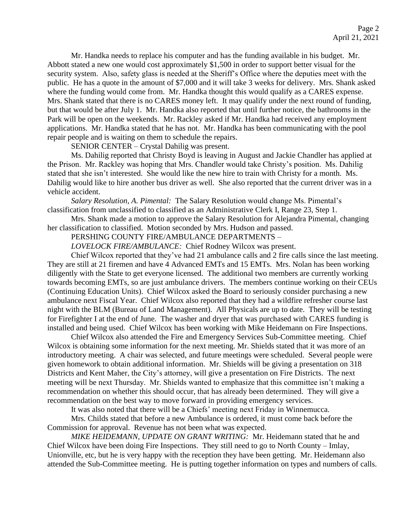Mr. Handka needs to replace his computer and has the funding available in his budget. Mr. Abbott stated a new one would cost approximately \$1,500 in order to support better visual for the security system. Also, safety glass is needed at the Sheriff's Office where the deputies meet with the public. He has a quote in the amount of \$7,000 and it will take 3 weeks for delivery. Mrs. Shank asked where the funding would come from. Mr. Handka thought this would qualify as a CARES expense. Mrs. Shank stated that there is no CARES money left. It may qualify under the next round of funding, but that would be after July 1. Mr. Handka also reported that until further notice, the bathrooms in the Park will be open on the weekends. Mr. Rackley asked if Mr. Handka had received any employment applications. Mr. Handka stated that he has not. Mr. Handka has been communicating with the pool repair people and is waiting on them to schedule the repairs.

SENIOR CENTER – Crystal Dahilig was present.

Ms. Dahilig reported that Christy Boyd is leaving in August and Jackie Chandler has applied at the Prison. Mr. Rackley was hoping that Mrs. Chandler would take Christy's position. Ms. Dahilig stated that she isn't interested. She would like the new hire to train with Christy for a month. Ms. Dahilig would like to hire another bus driver as well. She also reported that the current driver was in a vehicle accident.

*Salary Resolution, A. Pimental:* The Salary Resolution would change Ms. Pimental's classification from unclassified to classified as an Administrative Clerk I, Range 23, Step 1.

Mrs. Shank made a motion to approve the Salary Resolution for Alejandra Pimental, changing her classification to classified. Motion seconded by Mrs. Hudson and passed.

PERSHING COUNTY FIRE/AMBULANCE DEPARTMENTS –

*LOVELOCK FIRE/AMBULANCE:* Chief Rodney Wilcox was present.

Chief Wilcox reported that they've had 21 ambulance calls and 2 fire calls since the last meeting. They are still at 21 firemen and have 4 Advanced EMTs and 15 EMTs. Mrs. Nolan has been working diligently with the State to get everyone licensed. The additional two members are currently working towards becoming EMTs, so are just ambulance drivers. The members continue working on their CEUs (Continuing Education Units). Chief Wilcox asked the Board to seriously consider purchasing a new ambulance next Fiscal Year. Chief Wilcox also reported that they had a wildfire refresher course last night with the BLM (Bureau of Land Management). All Physicals are up to date. They will be testing for Firefighter I at the end of June. The washer and dryer that was purchased with CARES funding is installed and being used. Chief Wilcox has been working with Mike Heidemann on Fire Inspections.

Chief Wilcox also attended the Fire and Emergency Services Sub-Committee meeting. Chief Wilcox is obtaining some information for the next meeting. Mr. Shields stated that it was more of an introductory meeting. A chair was selected, and future meetings were scheduled. Several people were given homework to obtain additional information. Mr. Shields will be giving a presentation on 318 Districts and Kent Maher, the City's attorney, will give a presentation on Fire Districts. The next meeting will be next Thursday. Mr. Shields wanted to emphasize that this committee isn't making a recommendation on whether this should occur, that has already been determined. They will give a recommendation on the best way to move forward in providing emergency services.

It was also noted that there will be a Chiefs' meeting next Friday in Winnemucca.

Mrs. Childs stated that before a new Ambulance is ordered, it must come back before the Commission for approval. Revenue has not been what was expected.

*MIKE HEIDEMANN, UPDATE ON GRANT WRITING:* Mr. Heidemann stated that he and Chief Wilcox have been doing Fire Inspections. They still need to go to North County – Imlay, Unionville, etc, but he is very happy with the reception they have been getting. Mr. Heidemann also attended the Sub-Committee meeting. He is putting together information on types and numbers of calls.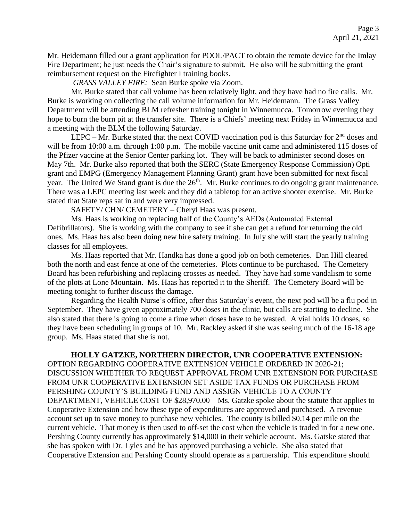Mr. Heidemann filled out a grant application for POOL/PACT to obtain the remote device for the Imlay Fire Department; he just needs the Chair's signature to submit. He also will be submitting the grant reimbursement request on the Firefighter I training books.

*GRASS VALLEY FIRE:* Sean Burke spoke via Zoom.

Mr. Burke stated that call volume has been relatively light, and they have had no fire calls. Mr. Burke is working on collecting the call volume information for Mr. Heidemann. The Grass Valley Department will be attending BLM refresher training tonight in Winnemucca. Tomorrow evening they hope to burn the burn pit at the transfer site. There is a Chiefs' meeting next Friday in Winnemucca and a meeting with the BLM the following Saturday.

LEPC – Mr. Burke stated that the next COVID vaccination pod is this Saturday for  $2<sup>nd</sup>$  doses and will be from 10:00 a.m. through 1:00 p.m. The mobile vaccine unit came and administered 115 doses of the Pfizer vaccine at the Senior Center parking lot. They will be back to administer second doses on May 7th. Mr. Burke also reported that both the SERC (State Emergency Response Commission) Opti grant and EMPG (Emergency Management Planning Grant) grant have been submitted for next fiscal year. The United We Stand grant is due the  $26<sup>th</sup>$ . Mr. Burke continues to do ongoing grant maintenance. There was a LEPC meeting last week and they did a tabletop for an active shooter exercise. Mr. Burke stated that State reps sat in and were very impressed.

SAFETY/ CHN/ CEMETERY – Cheryl Haas was present.

Ms. Haas is working on replacing half of the County's AEDs (Automated External Defibrillators). She is working with the company to see if she can get a refund for returning the old ones. Ms. Haas has also been doing new hire safety training. In July she will start the yearly training classes for all employees.

Ms. Haas reported that Mr. Handka has done a good job on both cemeteries. Dan Hill cleared both the north and east fence at one of the cemeteries. Plots continue to be purchased. The Cemetery Board has been refurbishing and replacing crosses as needed. They have had some vandalism to some of the plots at Lone Mountain. Ms. Haas has reported it to the Sheriff. The Cemetery Board will be meeting tonight to further discuss the damage.

Regarding the Health Nurse's office, after this Saturday's event, the next pod will be a flu pod in September. They have given approximately 700 doses in the clinic, but calls are starting to decline. She also stated that there is going to come a time when doses have to be wasted. A vial holds 10 doses, so they have been scheduling in groups of 10. Mr. Rackley asked if she was seeing much of the 16-18 age group. Ms. Haas stated that she is not.

**HOLLY GATZKE, NORTHERN DIRECTOR, UNR COOPERATIVE EXTENSION:**  OPTION REGARDING COOPERATIVE EXTENSION VEHICLE ORDERED IN 2020-21; DISCUSSION WHETHER TO REQUEST APPROVAL FROM UNR EXTENSION FOR PURCHASE FROM UNR COOPERATIVE EXTENSION SET ASIDE TAX FUNDS OR PURCHASE FROM PERSHING COUNTY'S BUILDING FUND AND ASSIGN VEHICLE TO A COUNTY DEPARTMENT, VEHICLE COST OF \$28,970.00 – Ms. Gatzke spoke about the statute that applies to Cooperative Extension and how these type of expenditures are approved and purchased. A revenue account set up to save money to purchase new vehicles. The county is billed \$0.14 per mile on the current vehicle. That money is then used to off-set the cost when the vehicle is traded in for a new one. Pershing County currently has approximately \$14,000 in their vehicle account. Ms. Gatske stated that she has spoken with Dr. Lyles and he has approved purchasing a vehicle. She also stated that Cooperative Extension and Pershing County should operate as a partnership. This expenditure should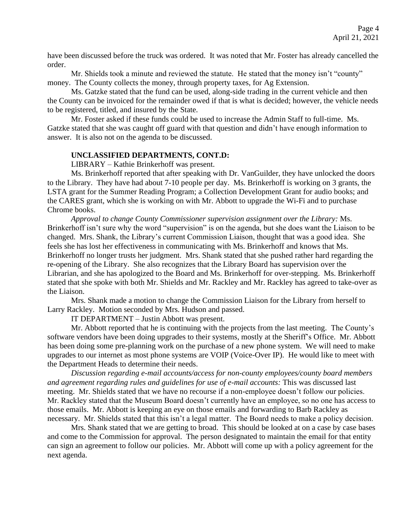have been discussed before the truck was ordered. It was noted that Mr. Foster has already cancelled the order.

Mr. Shields took a minute and reviewed the statute. He stated that the money isn't "county" money. The County collects the money, through property taxes, for Ag Extension.

Ms. Gatzke stated that the fund can be used, along-side trading in the current vehicle and then the County can be invoiced for the remainder owed if that is what is decided; however, the vehicle needs to be registered, titled, and insured by the State.

Mr. Foster asked if these funds could be used to increase the Admin Staff to full-time. Ms. Gatzke stated that she was caught off guard with that question and didn't have enough information to answer. It is also not on the agenda to be discussed.

### **UNCLASSIFIED DEPARTMENTS, CONT.D:**

LIBRARY – Kathie Brinkerhoff was present.

Ms. Brinkerhoff reported that after speaking with Dr. VanGuilder, they have unlocked the doors to the Library. They have had about 7-10 people per day. Ms. Brinkerhoff is working on 3 grants, the LSTA grant for the Summer Reading Program; a Collection Development Grant for audio books; and the CARES grant, which she is working on with Mr. Abbott to upgrade the Wi-Fi and to purchase Chrome books.

*Approval to change County Commissioner supervision assignment over the Library:* Ms. Brinkerhoff isn't sure why the word "supervision" is on the agenda, but she does want the Liaison to be changed. Mrs. Shank, the Library's current Commission Liaison, thought that was a good idea. She feels she has lost her effectiveness in communicating with Ms. Brinkerhoff and knows that Ms. Brinkerhoff no longer trusts her judgment. Mrs. Shank stated that she pushed rather hard regarding the re-opening of the Library. She also recognizes that the Library Board has supervision over the Librarian, and she has apologized to the Board and Ms. Brinkerhoff for over-stepping. Ms. Brinkerhoff stated that she spoke with both Mr. Shields and Mr. Rackley and Mr. Rackley has agreed to take-over as the Liaison.

Mrs. Shank made a motion to change the Commission Liaison for the Library from herself to Larry Rackley. Motion seconded by Mrs. Hudson and passed.

IT DEPARTMENT – Justin Abbott was present.

Mr. Abbott reported that he is continuing with the projects from the last meeting. The County's software vendors have been doing upgrades to their systems, mostly at the Sheriff's Office. Mr. Abbott has been doing some pre-planning work on the purchase of a new phone system. We will need to make upgrades to our internet as most phone systems are VOIP (Voice-Over IP). He would like to meet with the Department Heads to determine their needs.

*Discussion regarding e-mail accounts/access for non-county employees/county board members and agreement regarding rules and guidelines for use of e-mail accounts:* This was discussed last meeting. Mr. Shields stated that we have no recourse if a non-employee doesn't follow our policies. Mr. Rackley stated that the Museum Board doesn't currently have an employee, so no one has access to those emails. Mr. Abbott is keeping an eye on those emails and forwarding to Barb Rackley as necessary. Mr. Shields stated that this isn't a legal matter. The Board needs to make a policy decision.

Mrs. Shank stated that we are getting to broad. This should be looked at on a case by case bases and come to the Commission for approval. The person designated to maintain the email for that entity can sign an agreement to follow our policies. Mr. Abbott will come up with a policy agreement for the next agenda.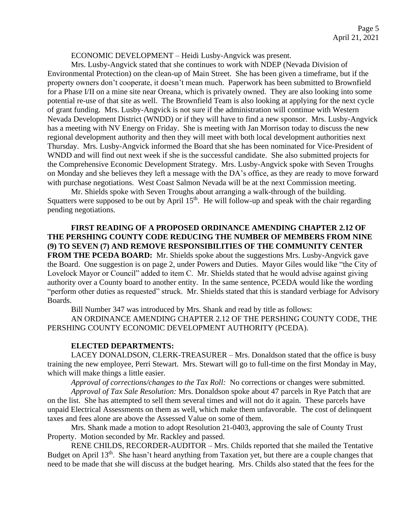#### ECONOMIC DEVELOPMENT – Heidi Lusby-Angvick was present.

Mrs. Lusby-Angvick stated that she continues to work with NDEP (Nevada Division of Environmental Protection) on the clean-up of Main Street. She has been given a timeframe, but if the property owners don't cooperate, it doesn't mean much. Paperwork has been submitted to Brownfield for a Phase I/II on a mine site near Oreana, which is privately owned. They are also looking into some potential re-use of that site as well. The Brownfield Team is also looking at applying for the next cycle of grant funding. Mrs. Lusby-Angvick is not sure if the administration will continue with Western Nevada Development District (WNDD) or if they will have to find a new sponsor. Mrs. Lusby-Angvick has a meeting with NV Energy on Friday. She is meeting with Jan Morrison today to discuss the new regional development authority and then they will meet with both local development authorities next Thursday. Mrs. Lusby-Angvick informed the Board that she has been nominated for Vice-President of WNDD and will find out next week if she is the successful candidate. She also submitted projects for the Comprehensive Economic Development Strategy. Mrs. Lusby-Angvick spoke with Seven Troughs on Monday and she believes they left a message with the DA's office, as they are ready to move forward with purchase negotiations. West Coast Salmon Nevada will be at the next Commission meeting.

Mr. Shields spoke with Seven Troughs about arranging a walk-through of the building. Squatters were supposed to be out by April  $15<sup>th</sup>$ . He will follow-up and speak with the chair regarding pending negotiations.

**FIRST READING OF A PROPOSED ORDINANCE AMENDING CHAPTER 2.12 OF THE PERSHING COUNTY CODE REDUCING THE NUMBER OF MEMBERS FROM NINE (9) TO SEVEN (7) AND REMOVE RESPONSIBILITIES OF THE COMMUNITY CENTER FROM THE PCEDA BOARD:** Mr. Shields spoke about the suggestions Mrs. Lusby-Angvick gave the Board. One suggestion is on page 2, under Powers and Duties. Mayor Giles would like "the City of Lovelock Mayor or Council" added to item C. Mr. Shields stated that he would advise against giving authority over a County board to another entity. In the same sentence, PCEDA would like the wording "perform other duties as requested" struck. Mr. Shields stated that this is standard verbiage for Advisory Boards.

Bill Number 347 was introduced by Mrs. Shank and read by title as follows:

AN ORDINANCE AMENDING CHAPTER 2.12 OF THE PERSHING COUNTY CODE, THE PERSHING COUNTY ECONOMIC DEVELOPMENT AUTHORITY (PCEDA).

# **ELECTED DEPARTMENTS:**

LACEY DONALDSON, CLERK-TREASURER – Mrs. Donaldson stated that the office is busy training the new employee, Perri Stewart. Mrs. Stewart will go to full-time on the first Monday in May, which will make things a little easier.

*Approval of corrections/changes to the Tax Roll:* No corrections or changes were submitted.

*Approval of Tax Sale Resolution:* Mrs. Donaldson spoke about 47 parcels in Rye Patch that are on the list. She has attempted to sell them several times and will not do it again. These parcels have unpaid Electrical Assessments on them as well, which make them unfavorable. The cost of delinquent taxes and fees alone are above the Assessed Value on some of them.

Mrs. Shank made a motion to adopt Resolution 21-0403, approving the sale of County Trust Property. Motion seconded by Mr. Rackley and passed.

RENE CHILDS, RECORDER-AUDITOR – Mrs. Childs reported that she mailed the Tentative Budget on April 13<sup>th</sup>. She hasn't heard anything from Taxation yet, but there are a couple changes that need to be made that she will discuss at the budget hearing. Mrs. Childs also stated that the fees for the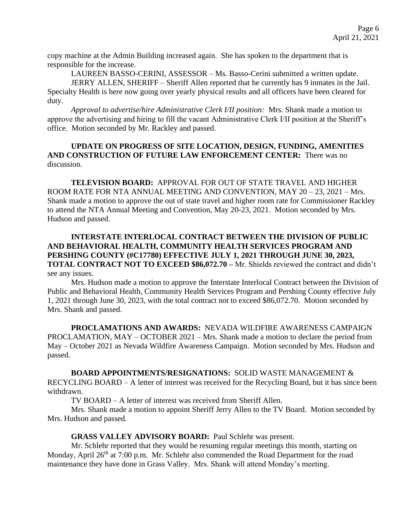copy machine at the Admin Building increased again. She has spoken to the department that is responsible for the increase.

LAUREEN BASSO-CERINI, ASSESSOR – Ms. Basso-Cerini submitted a written update.

JERRY ALLEN, SHERIFF – Sheriff Allen reported that he currently has 9 inmates in the Jail. Specialty Health is here now going over yearly physical results and all officers have been cleared for duty.

*Approval to advertise/hire Administrative Clerk I/II position:* Mrs. Shank made a motion to approve the advertising and hiring to fill the vacant Administrative Clerk I/II position at the Sheriff's office. Motion seconded by Mr. Rackley and passed.

# **UPDATE ON PROGRESS OF SITE LOCATION, DESIGN, FUNDING, AMENITIES AND CONSTRUCTION OF FUTURE LAW ENFORCEMENT CENTER:** There was no discussion.

**TELEVISION BOARD:** APPROVAL FOR OUT OF STATE TRAVEL AND HIGHER ROOM RATE FOR NTA ANNUAL MEETING AND CONVENTION, MAY 20 – 23, 2021 – Mrs. Shank made a motion to approve the out of state travel and higher room rate for Commissioner Rackley to attend the NTA Annual Meeting and Convention, May 20-23, 2021. Motion seconded by Mrs. Hudson and passed.

# **INTERSTATE INTERLOCAL CONTRACT BETWEEN THE DIVISION OF PUBLIC AND BEHAVIORAL HEALTH, COMMUNITY HEALTH SERVICES PROGRAM AND PERSHING COUNTY (#C17780) EFFECTIVE JULY 1, 2021 THROUGH JUNE 30, 2023, TOTAL CONTRACT NOT TO EXCEED \$86,072.70 –** Mr. Shields reviewed the contract and didn't see any issues.

Mrs. Hudson made a motion to approve the Interstate Interlocal Contract between the Division of Public and Behavioral Health, Community Health Services Program and Pershing County effective July 1, 2021 through June 30, 2023, with the total contract not to exceed \$86,072.70. Motion seconded by Mrs. Shank and passed.

**PROCLAMATIONS AND AWARDS:** NEVADA WILDFIRE AWARENESS CAMPAIGN PROCLAMATION, MAY – OCTOBER 2021 – Mrs. Shank made a motion to declare the period from May – October 2021 as Nevada Wildfire Awareness Campaign. Motion seconded by Mrs. Hudson and passed.

# **BOARD APPOINTMENTS/RESIGNATIONS:** SOLID WASTE MANAGEMENT &

RECYCLING BOARD – A letter of interest was received for the Recycling Board, but it has since been withdrawn.

TV BOARD – A letter of interest was received from Sheriff Allen.

Mrs. Shank made a motion to appoint Sheriff Jerry Allen to the TV Board. Motion seconded by Mrs. Hudson and passed.

# **GRASS VALLEY ADVISORY BOARD:** Paul Schlehr was present.

Mr. Schlehr reported that they would be resuming regular meetings this month, starting on Monday, April 26<sup>th</sup> at 7:00 p.m. Mr. Schlehr also commended the Road Department for the road maintenance they have done in Grass Valley. Mrs. Shank will attend Monday's meeting.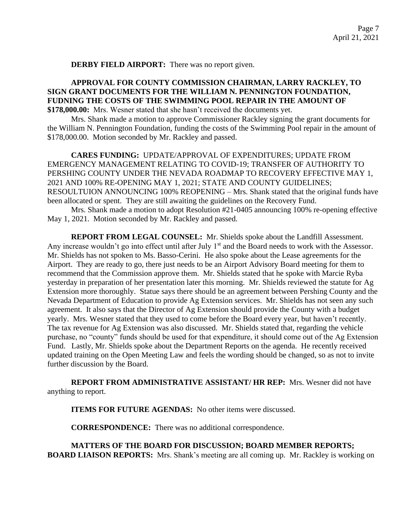**DERBY FIELD AIRPORT:** There was no report given.

### **APPROVAL FOR COUNTY COMMISSION CHAIRMAN, LARRY RACKLEY, TO SIGN GRANT DOCUMENTS FOR THE WILLIAM N. PENNINGTON FOUNDATION, FUDNING THE COSTS OF THE SWIMMING POOL REPAIR IN THE AMOUNT OF \$178,000.00:** Mrs. Wesner stated that she hasn't received the documents yet.

Mrs. Shank made a motion to approve Commissioner Rackley signing the grant documents for the William N. Pennington Foundation, funding the costs of the Swimming Pool repair in the amount of \$178,000.00. Motion seconded by Mr. Rackley and passed.

**CARES FUNDING:** UPDATE/APPROVAL OF EXPENDITURES; UPDATE FROM EMERGENCY MANAGEMENT RELATING TO COVID-19; TRANSFER OF AUTHORITY TO PERSHING COUNTY UNDER THE NEVADA ROADMAP TO RECOVERY EFFECTIVE MAY 1, 2021 AND 100% RE-OPENING MAY 1, 2021; STATE AND COUNTY GUIDELINES; RESOULTUION ANNOUNCING 100% REOPENING – Mrs. Shank stated that the original funds have been allocated or spent. They are still awaiting the guidelines on the Recovery Fund.

Mrs. Shank made a motion to adopt Resolution #21-0405 announcing 100% re-opening effective May 1, 2021. Motion seconded by Mr. Rackley and passed.

**REPORT FROM LEGAL COUNSEL:** Mr. Shields spoke about the Landfill Assessment. Any increase wouldn't go into effect until after July 1<sup>st</sup> and the Board needs to work with the Assessor. Mr. Shields has not spoken to Ms. Basso-Cerini. He also spoke about the Lease agreements for the Airport. They are ready to go, there just needs to be an Airport Advisory Board meeting for them to recommend that the Commission approve them. Mr. Shields stated that he spoke with Marcie Ryba yesterday in preparation of her presentation later this morning. Mr. Shields reviewed the statute for Ag Extension more thoroughly. Statue says there should be an agreement between Pershing County and the Nevada Department of Education to provide Ag Extension services. Mr. Shields has not seen any such agreement. It also says that the Director of Ag Extension should provide the County with a budget yearly. Mrs. Wesner stated that they used to come before the Board every year, but haven't recently. The tax revenue for Ag Extension was also discussed. Mr. Shields stated that, regarding the vehicle purchase, no "county" funds should be used for that expenditure, it should come out of the Ag Extension Fund. Lastly, Mr. Shields spoke about the Department Reports on the agenda. He recently received updated training on the Open Meeting Law and feels the wording should be changed, so as not to invite further discussion by the Board.

**REPORT FROM ADMINISTRATIVE ASSISTANT/ HR REP:** Mrs. Wesner did not have anything to report.

**ITEMS FOR FUTURE AGENDAS:** No other items were discussed.

**CORRESPONDENCE:** There was no additional correspondence.

**MATTERS OF THE BOARD FOR DISCUSSION; BOARD MEMBER REPORTS; BOARD LIAISON REPORTS:** Mrs. Shank's meeting are all coming up. Mr. Rackley is working on